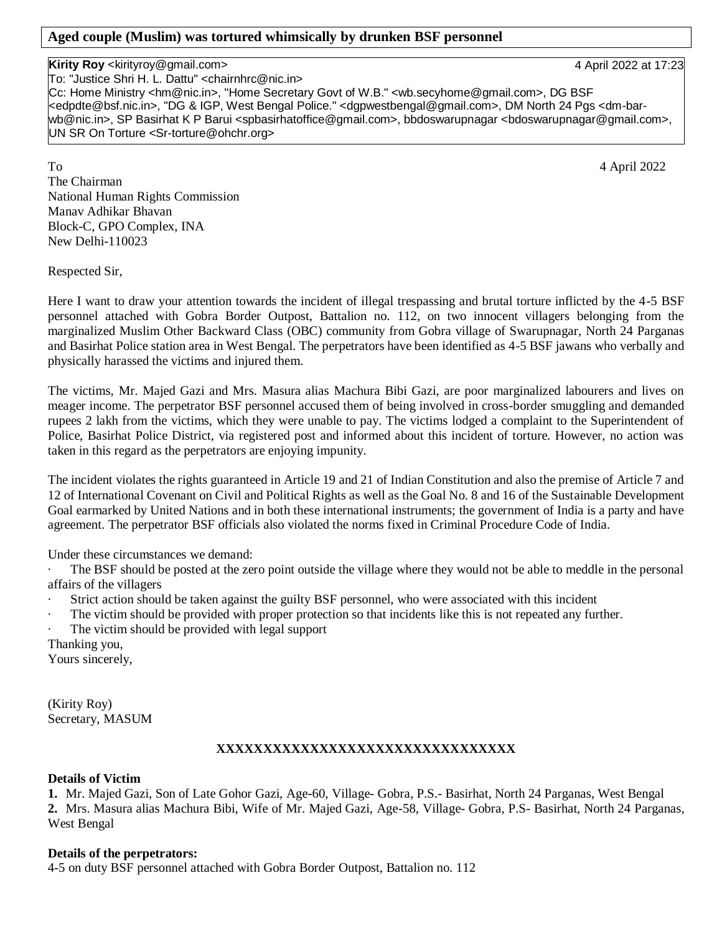# **Aged couple (Muslim) was tortured whimsically by drunken BSF personnel**

## **Kirity Roy** <kirityroy@gmail.com> 4 April 2022 at 17:23

To: "Justice Shri H. L. Dattu" <chairnhrc@nic.in>

Cc: Home Ministry <hm@nic.in>, "Home Secretary Govt of W.B." <wb.secyhome@gmail.com>, DG BSF <edpdte@bsf.nic.in>, "DG & IGP, West Bengal Police." <dgpwestbengal@gmail.com>, DM North 24 Pgs <dm-barwb@nic.in>, SP Basirhat K P Barui <spbasirhatoffice@gmail.com>, bbdoswarupnagar <bdoswarupnagar@gmail.com>, UN SR On Torture <Sr-torture@ohchr.org>

To 4 April 2022 The Chairman National Human Rights Commission Manav Adhikar Bhavan Block-C, GPO Complex, INA New Delhi-110023

Respected Sir,

Here I want to draw your attention towards the incident of illegal trespassing and brutal torture inflicted by the 4-5 BSF personnel attached with Gobra Border Outpost, Battalion no. 112, on two innocent villagers belonging from the marginalized Muslim Other Backward Class (OBC) community from Gobra village of Swarupnagar, North 24 Parganas and Basirhat Police station area in West Bengal. The perpetrators have been identified as 4-5 BSF jawans who verbally and physically harassed the victims and injured them.

The victims, Mr. Majed Gazi and Mrs. Masura alias Machura Bibi Gazi, are poor marginalized labourers and lives on meager income. The perpetrator BSF personnel accused them of being involved in cross-border smuggling and demanded rupees 2 lakh from the victims, which they were unable to pay. The victims lodged a complaint to the Superintendent of Police, Basirhat Police District, via registered post and informed about this incident of torture. However, no action was taken in this regard as the perpetrators are enjoying impunity.

The incident violates the rights guaranteed in Article 19 and 21 of Indian Constitution and also the premise of Article 7 and 12 of International Covenant on Civil and Political Rights as well as the Goal No. 8 and 16 of the Sustainable Development Goal earmarked by United Nations and in both these international instruments; the government of India is a party and have agreement. The perpetrator BSF officials also violated the norms fixed in Criminal Procedure Code of India.

Under these circumstances we demand:

The BSF should be posted at the zero point outside the village where they would not be able to meddle in the personal affairs of the villagers

- Strict action should be taken against the guilty BSF personnel, who were associated with this incident
- The victim should be provided with proper protection so that incidents like this is not repeated any further.
- The victim should be provided with legal support
- Thanking you,

Yours sincerely,

(Kirity Roy) Secretary, MASUM

## **XXXXXXXXXXXXXXXXXXXXXXXXXXXXXXXX**

## **Details of Victim**

**1.** Mr. Majed Gazi, Son of Late Gohor Gazi, Age-60, Village- Gobra, P.S.- Basirhat, North 24 Parganas, West Bengal

**2.** Mrs. Masura alias Machura Bibi, Wife of Mr. Majed Gazi, Age-58, Village- Gobra, P.S- Basirhat, North 24 Parganas, West Bengal

#### **Details of the perpetrators:**

4-5 on duty BSF personnel attached with Gobra Border Outpost, Battalion no. 112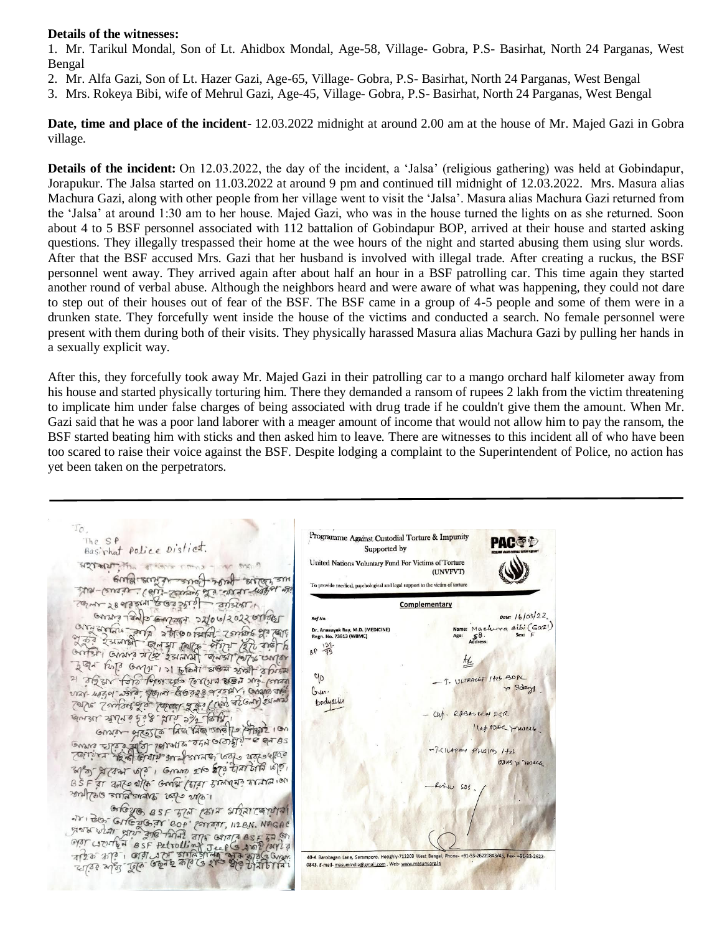#### **Details of the witnesses:**

1. Mr. Tarikul Mondal, Son of Lt. Ahidbox Mondal, Age-58, Village- Gobra, P.S- Basirhat, North 24 Parganas, West Bengal

- 2. Mr. Alfa Gazi, Son of Lt. Hazer Gazi, Age-65, Village- Gobra, P.S- Basirhat, North 24 Parganas, West Bengal
- 3. Mrs. Rokeya Bibi, wife of Mehrul Gazi, Age-45, Village- Gobra, P.S- Basirhat, North 24 Parganas, West Bengal

**Date, time and place of the incident-** 12.03.2022 midnight at around 2.00 am at the house of Mr. Majed Gazi in Gobra village.

**Details of the incident:** On 12.03.2022, the day of the incident, a 'Jalsa' (religious gathering) was held at Gobindapur, Jorapukur. The Jalsa started on 11.03.2022 at around 9 pm and continued till midnight of 12.03.2022. Mrs. Masura alias Machura Gazi, along with other people from her village went to visit the 'Jalsa'. Masura alias Machura Gazi returned from the 'Jalsa' at around 1:30 am to her house. Majed Gazi, who was in the house turned the lights on as she returned. Soon about 4 to 5 BSF personnel associated with 112 battalion of Gobindapur BOP, arrived at their house and started asking questions. They illegally trespassed their home at the wee hours of the night and started abusing them using slur words. After that the BSF accused Mrs. Gazi that her husband is involved with illegal trade. After creating a ruckus, the BSF personnel went away. They arrived again after about half an hour in a BSF patrolling car. This time again they started another round of verbal abuse. Although the neighbors heard and were aware of what was happening, they could not dare to step out of their houses out of fear of the BSF. The BSF came in a group of 4-5 people and some of them were in a drunken state. They forcefully went inside the house of the victims and conducted a search. No female personnel were present with them during both of their visits. They physically harassed Masura alias Machura Gazi by pulling her hands in a sexually explicit way.

After this, they forcefully took away Mr. Majed Gazi in their patrolling car to a mango orchard half kilometer away from his house and started physically torturing him. There they demanded a ransom of rupees 2 lakh from the victim threatening to implicate him under false charges of being associated with drug trade if he couldn't give them the amount. When Mr. Gazi said that he was a poor land laborer with a meager amount of income that would not allow him to pay the ransom, the BSF started beating him with sticks and then asked him to leave. There are witnesses to this incident all of who have been too scared to raise their voice against the BSF. Despite lodging a complaint to the Superintendent of Police, no action has yet been taken on the perpetrators.

 $To$ Programme Against Custodial Torture & Impunity The SP **INCSE** Basirhat police Distict. Supported by agraph of the com United Nations Voluntary Fund For Victims of Torture **IINVFVTY** and any three four wing and To provide medical, psychological and legal support to the victim of torture Gen-leus-c'élit-Seussie d'a-viens-reg 17845 - GIRCEBQ-WEEDS 37 AM Complementary anana Janto Compasi 22/06/202201965 Date: 16/03/22 Ref No.  $chura Bibi(Ga21)$ Dr. Anasuyak Ray, M.D. (MEDICINE)<br>Regn. No. 73813 (WBMC)  $Mae$ <br> $68.$ <br>Address: Name:<br>Age: BP 732 super and there I want and the course  $\mathcal{H}_{\mathcal{C}}$ के पुर कर कर महाराज के बाद में किया है - T. ULTRACES I tob. BDPC gp या उन्हिर विष्ठ मिला सुरु हु प्राप्त इस्लिम अर्क- (अय p 3day univ. 48301-2377, Steiner-GG328 9725AV, GAANG até Grun one Superior Salah dan (Py afoul) samp **bodyacter** CUT. RABALKEN DSR ALBE The rile - Bis over the word Gram of Gra Tag Tag Tang 2 Ang 2 10 llat oppe smell. GIVER THE COLLECTION OF THE GATES - T. CILAPAN PLUSLIO 1 tzl Torriva te of the open come loss and allege ODAS po much de plaste els une sur que l'els texte de BSF TT ZATO THE GOOD BOOT STAMPS TTATA ION Rivine Sos i elso obso que eque esplana अख्यू BSF द्वारा क्षिप्त अहिमा रकार्यानी ne- +91-33-26220843/45, Fax- +91-33-2622 40-A Barobagan Lane, Serampore, Hooghly-712203 West Bengal 0843. E-mail- masumindia@gmail.com, Web- www.masum.org.in